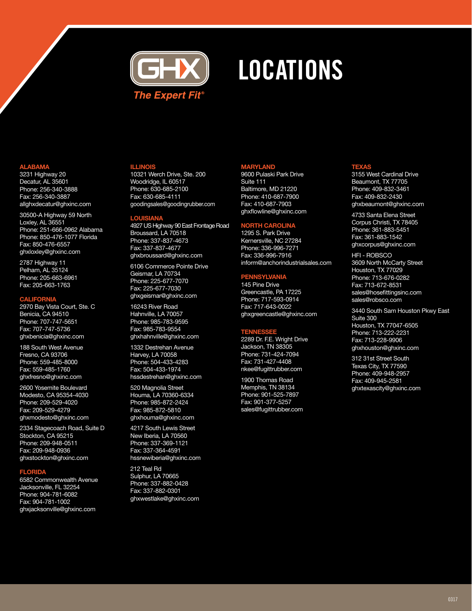

# **LOCATIONS**

#### **ALABAMA**

3231 Highway 20 Decatur, AL 35601 Phone: 256-340-3888 Fax: 256-340-3887 allghxdecatur@ghxinc.com

30500-A Highway 59 North Loxley, AL 36551 Phone: 251-666-0962 Alabama Phone: 850-476-1077 Florida Fax: 850-476-6557 ghxloxley@ghxinc.com

2787 Highway 11 Pelham, AL 35124 Phone: 205-663-6961 Fax: 205-663-1763

### **CALIFORNIA**

2970 Bay Vista Court, Ste. C Benicia, CA 94510 Phone: 707-747-5651 Fax: 707-747-5736 ghxbenicia@ghxinc.com

188 South West Avenue Fresno, CA 93706 Phone: 559-485-8000 Fax: 559-485-1760 ghxfresno@ghxinc.com

2600 Yosemite Boulevard Modesto, CA 95354-4030 Phone: 209-529-4020 Fax: 209-529-4279 ghxmodesto@ghxinc.com

2334 Stagecoach Road, Suite D Stockton, CA 95215 Phone: 209-948-0511 Fax: 209-948-0936 ghxstockton@ghxinc.com

#### **FLORIDA**

6582 Commonwealth Avenue Jacksonville, FL 32254 Phone: 904-781-6082 Fax: 904-781-1002 ghxjacksonville@ghxinc.com

#### **ILLINOIS**

10321 Werch Drive, Ste. 200 Woodridge, IL 60517 Phone: 630-685-2100 Fax: 630-685-4111 goodingsales@goodingrubber.com

#### **LOUISIANA**

4927 US Highway 90 East Frontage Road Broussard, LA 70518 Phone: 337-837-4673 Fax: 337-837-4677 ghxbroussard@ghxinc.com

6106 Commerce Pointe Drive Geismar, LA 70734 Phone: 225-677-7070 Fax: 225-677-7030 ghxgeismar@ghxinc.com

16243 River Road Hahnville, LA 70057 Phone: 985-783-9595 Fax: 985-783-9554 ghxhahnville@ghxinc.com

1332 Destrehan Avenue Harvey, LA 70058 Phone: 504-433-4283 Fax: 504-433-1974 hssdestrehan@ghxinc.com

520 Magnolia Street Houma, LA 70360-6334 Phone: 985-872-2424 Fax: 985-872-5810 ghxhouma@ghxinc.com

4217 South Lewis Street New Iberia, LA 70560 Phone: 337-369-1121 Fax: 337-364-4591 hssnewiberia@ghxinc.com

212 Teal Rd Sulphur, LA 70665 Phone: 337-882-0428 Fax: 337-882-0301 ghxwestlake@ghxinc.com

#### **MARYLAND**

9600 Pulaski Park Drive Suite 111 Baltimore, MD 21220 Phone: 410-687-7900 Fax: 410-687-7903 ghxflowline@ghxinc.com

## **NORTH CAROLINA**

1295 S. Park Drive Kernersville, NC 27284 Phone: 336-996-7271 Fax: 336-996-7916 inform@anchorindustrialsales.com

#### **PENNSYLVANIA**

145 Pine Drive Greencastle, PA 17225 Phone: 717-593-0914 Fax: 717-643-0022 ghxgreencastle@ghxinc.com

#### TEN

2289 Dr. F.E. Wright Drive Jackson, TN 38305 Phone: 731-424-7094 Fax: 731-427-4408 nkee@fugittrubber.com

1900 Thomas Road Memphis, TN 38134 Phone: 901-525-7897 Fax: 901-377-5257 sales@fugittrubber.com

#### **TEXAS**

3155 West Cardinal Drive Beaumont, TX 77705 Phone: 409-832-3461 Fax: 409-832-2430 ghxbeaumont@ghxinc.com

4733 Santa Elena Street Corpus Christi, TX 78405 Phone: 361-883-5451 Fax: 361-883-1542 ghxcorpus@ghxinc.com

HFI - ROBSCO 3609 North McCarty Street Houston, TX 77029 Phone: 713-676-0282 Fax: 713-672-8531 sales@hosefittingsinc.com sales@robsco.com

3440 South Sam Houston Pkwy East Suite 300 Houston, TX 77047-6505 Phone: 713-222-2231 Fax: 713-228-9906 ghxhouston@ghxinc.com

312 31st Street South Texas City, TX 77590 Phone: 409-948-2957 Fax: 409-945-2581 ghxtexascity@ghxinc.com